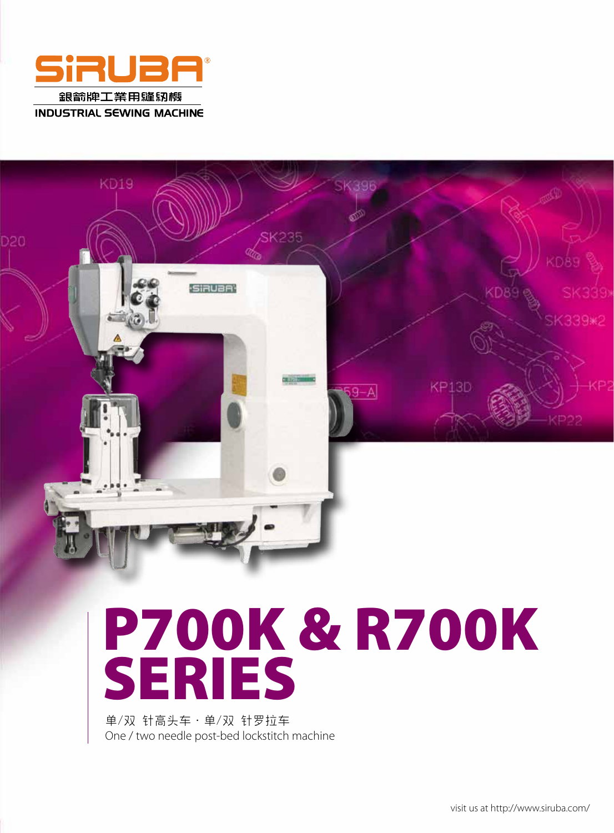



# P700K & R700K SERIES

单/双 针高头车·单/双 针罗拉车 One / two needle post-bed lockstitch machine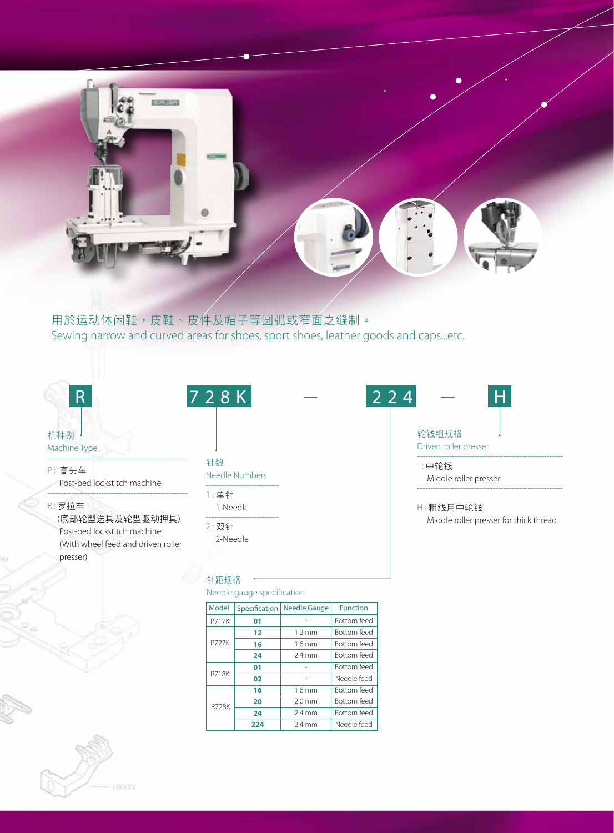

### 用於运动休闲鞋,皮鞋、皮件及帽子等圆弧或窄面之缝制。 Sewing narrow and curved areas for shoes, sport shoes, leather goods and caps...etc.

| 机种别 |  |
|-----|--|

### Machine Type

---------------------------------------------------- P: 高头车 Post-bed lockstitch machine

R : 羅拉車

(底部轮型送具及轮型驱动押具) Post-bed lockstitch machine (With wheel feed and driven roller presser)

----------------------------------------------------

針數

Needle Numbers

#### --------------------------- 1 : 單針

1-Needle

---------------------------

2: 双针 2-Needle

### 針距規格

Needle gauge specification

| <b>Model</b> | Specification | <b>Needle Gauge</b> | <b>Function</b>    |  |  |
|--------------|---------------|---------------------|--------------------|--|--|
| <b>P717K</b> | 01            |                     | <b>Bottom</b> feed |  |  |
| <b>P727K</b> | 12            | $1.2 \text{ mm}$    | <b>Bottom</b> feed |  |  |
|              | 16            | 1.6 <sub>mm</sub>   | <b>Bottom</b> feed |  |  |
|              | 24            | $2.4 \text{ mm}$    | <b>Bottom</b> feed |  |  |
| <b>R718K</b> | 01            |                     | <b>Bottom</b> feed |  |  |
|              | 02            |                     | Needle feed        |  |  |
| <b>R728K</b> | 16            | $1.6$ mm            | <b>Bottom</b> feed |  |  |
|              | 20            | $2.0 \text{ mm}$    | <b>Bottom</b> feed |  |  |
|              | 24            | $2.4 \text{ mm}$    | <b>Bottom</b> feed |  |  |
|              | 224           | $2.4 \text{ mm}$    | Needle feed        |  |  |



------------------------------------------------------

### - : 中輪錢

 Middle roller presser ------------------------------------------------------

### H : 粗線用中輪錢

Middle roller presser for thick thread

|  | ×           |
|--|-------------|
|  |             |
|  | <b>DODG</b> |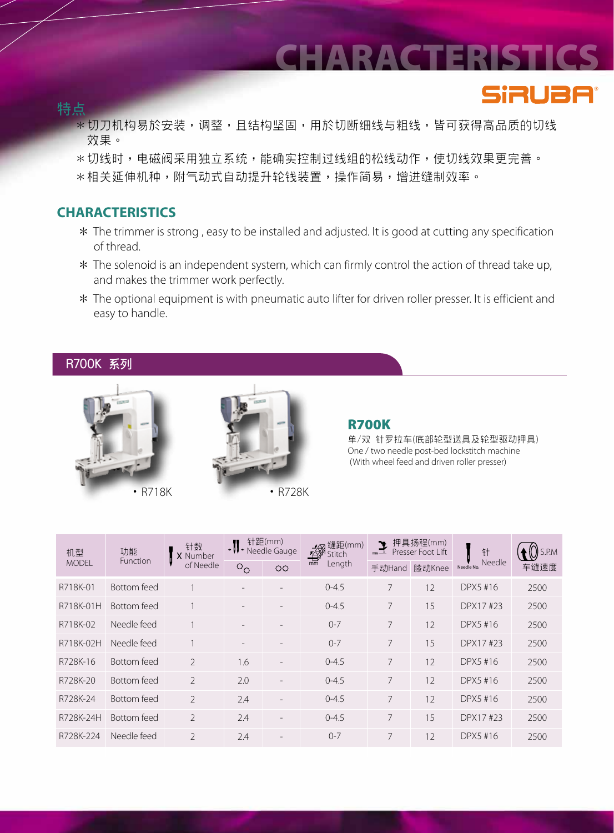### CHARACTERISTICS

**SiRUBA®** 

### **特點**

- \*切刀机构易於安装,调整,且结构坚固,用於切断细线与粗线,皆可获得高品质的切线 效果。
- \*切线时,电磁阀采用独立系统,能确实控制过线组的松线动作,使切线效果更完善。
- \*相关延伸机种,附气动式自动提升轮钱装置,操作简易,增进缝制效率。

### **CHARACTERISTICS**

- \* The trimmer is strong , easy to be installed and adjusted. It is good at cutting any specification of thread.
- \* The solenoid is an independent system, which can firmly control the action of thread take up, and makes the trimmer work perfectly.
- \* The optional equipment is with pneumatic auto lifter for driven roller presser. It is efficient and easy to handle.

### **R700K 系列**





### R700K

单/双 针罗拉车(底部轮型送具及轮型驱动押具) One / two needle post-bed lockstitch machine (With wheel feed and driven roller presser)

| 机型           | 功能<br>Function     | 针数<br>X Number<br>of Needle | 针距(mm)<br>$\mathbf{J}$<br>Needle Gauge |                          | 缝距(mm)<br>- <sup>鐘距(</sup><br>Fitch<br>Lengtl | 押具扬程(mm)<br>$\sum_{nm=1}$<br>Presser Foot Lift |        | 针                    | S.P.M |
|--------------|--------------------|-----------------------------|----------------------------------------|--------------------------|-----------------------------------------------|------------------------------------------------|--------|----------------------|-------|
| <b>MODEL</b> |                    |                             | $\circ_{\circ}$                        | $\overline{O}O$          | Length                                        | 手动Hand                                         | 膝动Knee | Needle<br>Needle No. | 车缝速度  |
| R718K-01     | <b>Bottom</b> feed |                             |                                        | $\overline{\phantom{a}}$ | $0 - 4.5$                                     | $\overline{7}$                                 | 12     | DPX5 #16             | 2500  |
| R718K-01H    | Bottom feed        |                             |                                        |                          | $0 - 4.5$                                     | 7                                              | 15     | DPX17#23             | 2500  |
| R718K-02     | Needle feed        |                             |                                        |                          | $0 - 7$                                       | 7                                              | 12     | DPX5 #16             | 2500  |
| R718K-02H    | Needle feed        |                             |                                        | $\overline{\phantom{a}}$ | $0 - 7$                                       | 7                                              | 15     | DPX17#23             | 2500  |
| R728K-16     | Bottom feed        | $\mathcal{P}$               | 1.6                                    |                          | $0 - 4.5$                                     | 7                                              | 12     | DPX5 #16             | 2500  |
| R728K-20     | Bottom feed        | $\overline{\phantom{a}}$    | 2.0                                    | $\overline{\phantom{a}}$ | $0 - 4.5$                                     | $\overline{7}$                                 | 12     | DPX5 #16             | 2500  |
| R728K-24     | Bottom feed        | $\overline{\phantom{a}}$    | 2.4                                    | $\overline{\phantom{a}}$ | $0 - 4.5$                                     | 7                                              | 12     | DPX5 #16             | 2500  |
| R728K-24H    | Bottom feed        | $\mathfrak{D}$              | 2.4                                    | $\overline{\phantom{a}}$ | $0 - 4.5$                                     | 7                                              | 15     | DPX17#23             | 2500  |
| R728K-224    | Needle feed        | $\overline{\phantom{a}}$    | 2.4                                    | $\overline{\phantom{a}}$ | $0 - 7$                                       | 7                                              | 12     | DPX5 #16             | 2500  |